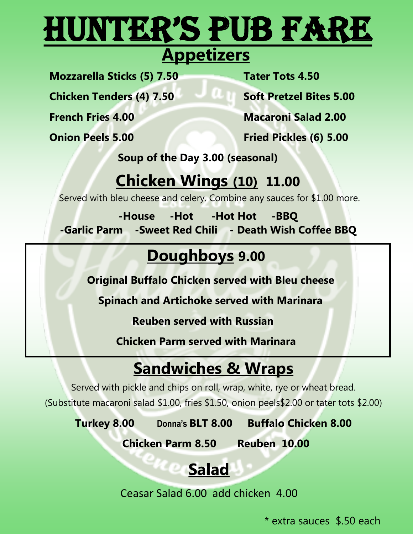# Hunter's Pub Fare

 **Appetizers** 

**Mozzarella Sticks (5) 7.50 Tater Tots 4.50**

**Chicken Tenders (4) 7.50 Soft Pretzel Bites 5.00**

**French Fries 4.00 Macaroni Salad 2.00**

**Onion Peels 5.00 Fried Pickles (6) 5.00**

 **Soup of the Day 3.00 (seasonal)**

### **Chicken Wings (10) 11.00**

Served with bleu cheese and celery. Combine any sauces for \$1.00 more.

**-House -Hot -Hot Hot -BBQ -Garlic Parm -Sweet Red Chili - Death Wish Coffee BBQ** 

# **Doughboys 9.00**

 **Original Buffalo Chicken served with Bleu cheese**

 **Spinach and Artichoke served with Marinara**

 **Reuben served with Russian**

**Chicken Parm served with Marinara**

# **Sandwiches & Wraps**

Served with pickle and chips on roll, wrap, white, rye or wheat bread.

(Substitute macaroni salad \$1.00, fries \$1.50, onion peels\$2.00 or tater tots \$2.00)

**Turkey 8.00 Donna's BLT 8.00 Buffalo Chicken 8.00** 

 **Chicken Parm 8.50 Reuben 10.00**

# **Salad**

Ceasar Salad 6.00 add chicken 4.00

\* extra sauces \$.50 each